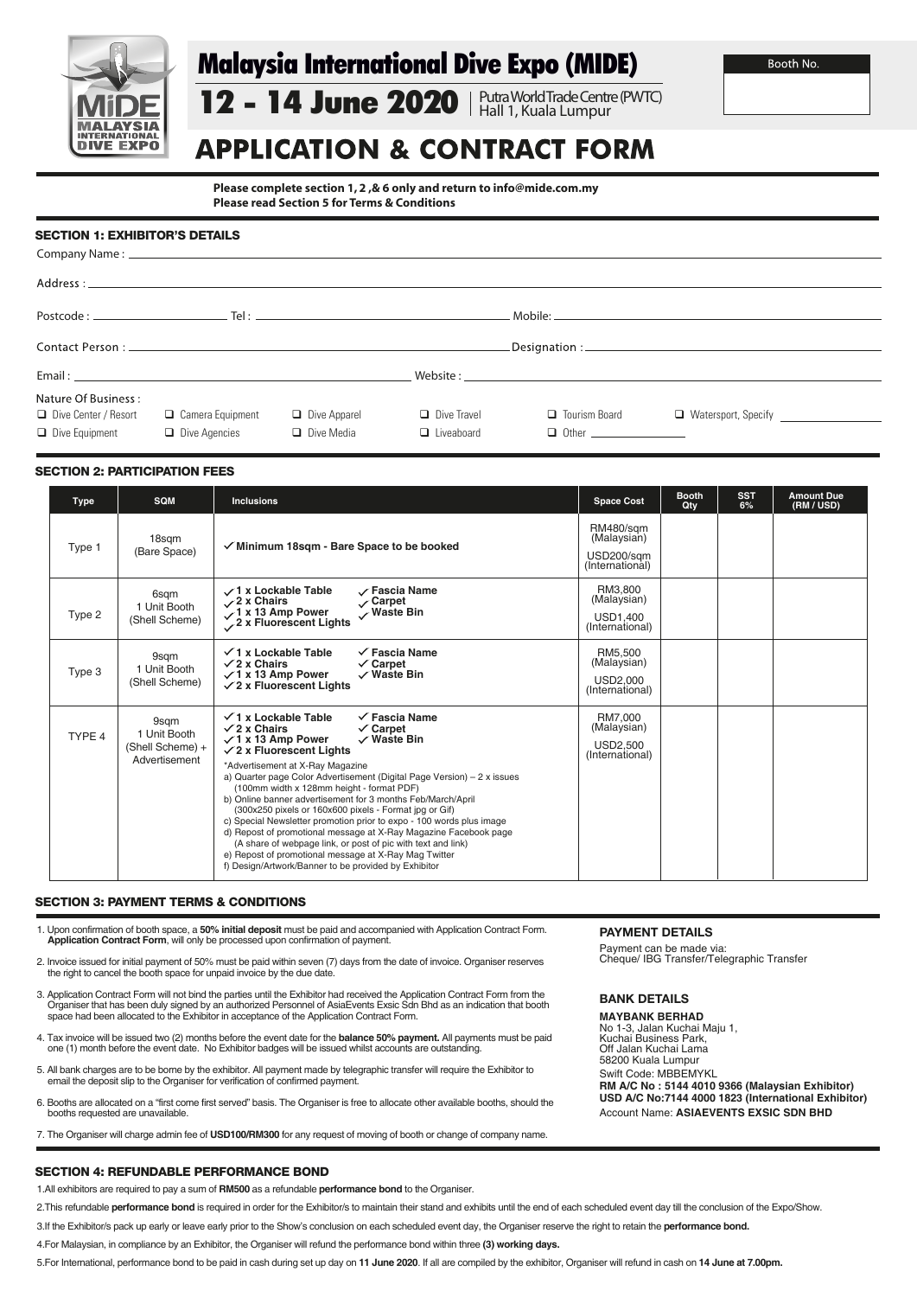

# Malaysia International Dive Expo (MIDE)

# **APPLICATION & CONTRACT FORM**

12 - 14 June 2020 | Putra World Trade Centre (PWTC)

Hall 1, Kuala Lumpur

**Please complete section 1, 2 ,& 6 only and return to info@mide.com.my Please read Section 5 for Terms & Conditions**

# SECTION 1: EXHIBITOR'S DETAILS

|                                                                        | Contact Person: The Contact Person of the Contact Person of the Contact Person of the Contact Person of the Contact Person of the Contact Person of the Contact Person of the Contact Person of the Contact Person of the Cont |                                          |                                         |                                      |                                               |  |  |  |
|------------------------------------------------------------------------|--------------------------------------------------------------------------------------------------------------------------------------------------------------------------------------------------------------------------------|------------------------------------------|-----------------------------------------|--------------------------------------|-----------------------------------------------|--|--|--|
|                                                                        |                                                                                                                                                                                                                                |                                          |                                         |                                      |                                               |  |  |  |
| Nature Of Business:<br>□ Dive Center / Resort<br>$\Box$ Dive Equipment | □ Camera Equipment<br>$\Box$ Dive Agencies                                                                                                                                                                                     | $\Box$ Dive Apparel<br>$\Box$ Dive Media | $\Box$ Dive Travel<br>$\Box$ Liveaboard | $\Box$ Tourism Board<br>$\Box$ Other | □ Watersport, Specify <u>________________</u> |  |  |  |

## SECTION 2: PARTICIPATION FEES

| <b>Type</b> | <b>SQM</b>                                                | <b>Inclusions</b>                                                                                                                                                                                                                                                                                                                                                                                                                                                                                                                                                                                                                                                                                                                                                                                                 | <b>Space Cost</b>                                                | <b>Booth</b><br>Qty | <b>SST</b><br>6% | <b>Amount Due</b><br>(RM / USD) |
|-------------|-----------------------------------------------------------|-------------------------------------------------------------------------------------------------------------------------------------------------------------------------------------------------------------------------------------------------------------------------------------------------------------------------------------------------------------------------------------------------------------------------------------------------------------------------------------------------------------------------------------------------------------------------------------------------------------------------------------------------------------------------------------------------------------------------------------------------------------------------------------------------------------------|------------------------------------------------------------------|---------------------|------------------|---------------------------------|
| Type 1      | 18sqm<br>(Bare Space)                                     | $\checkmark$ Minimum 18sqm - Bare Space to be booked                                                                                                                                                                                                                                                                                                                                                                                                                                                                                                                                                                                                                                                                                                                                                              | <b>RM480/sam</b><br>(Malaysian)<br>USD200/sam<br>(International) |                     |                  |                                 |
| Type 2      | 6sqm<br>1 Unit Booth<br>(Shell Scheme)                    | √1 x Lockable Table<br>√ Fascia Name<br>$\angle$ 2 x Chairs<br>. ∕ Carpet<br>$\sqrt{1}$ x 13 Amp Power<br>Waste Bin<br>2 x Fluorescent Lights                                                                                                                                                                                                                                                                                                                                                                                                                                                                                                                                                                                                                                                                     | RM3.800<br>(Malaysian)<br><b>USD1.400</b><br>(International)     |                     |                  |                                 |
| Type 3      | 9sgm<br>1 Unit Booth<br>(Shell Scheme)                    | $\checkmark$ 1 x Lockable Table<br>$\checkmark$ Fascia Name<br>$\sqrt{2}$ x Chairs<br>$\checkmark$ Carpet<br>$\sqrt{1}$ x 13 Amp Power<br>$\checkmark$ Waste Bin<br>$\sqrt{2}$ x Fluorescent Lights                                                                                                                                                                                                                                                                                                                                                                                                                                                                                                                                                                                                               | RM5.500<br>(Malaysian)<br>USD2.000<br>(International)            |                     |                  |                                 |
| TYPE 4      | 9sgm<br>1 Unit Booth<br>(Shell Scheme) +<br>Advertisement | $\sqrt{1}$ x Lockable Table<br>$\checkmark$ Fascia Name<br>$\sqrt{2}$ x Chairs<br>$\checkmark$ Carpet<br>$\sqrt{1}$ x 13 Amp Power<br>$\checkmark$ Waste Bin<br>$\sqrt{2}$ x Fluorescent Lights<br>*Advertisement at X-Ray Magazine<br>a) Quarter page Color Advertisement (Digital Page Version) - 2 x issues<br>(100mm width x 128mm height - format PDF)<br>b) Online banner advertisement for 3 months Feb/March/April<br>(300x250 pixels or 160x600 pixels - Format jpg or Gif)<br>c) Special Newsletter promotion prior to expo - 100 words plus image<br>d) Repost of promotional message at X-Ray Magazine Facebook page<br>(A share of webpage link, or post of pic with text and link)<br>e) Repost of promotional message at X-Ray Mag Twitter<br>f) Design/Artwork/Banner to be provided by Exhibitor | RM7.000<br>(Malaysian)<br><b>USD2.500</b><br>(International)     |                     |                  |                                 |

## SECTION 3: PAYMENT TERMS & CONDITIONS

1. Upon confirmation of booth space, a **50% initial deposit** must be paid and accompanied with Application Contract Form. **Application Contract Form**, will only be processed upon confirmation of payment.

- 2. Invoice issued for initial payment of 50% must be paid within seven (7) days from the date of invoice. Organiser reserves the right to cancel the booth space for unpaid invoice by the due date.
- 3. Application Contract Form will not bind the parties until the Exhibitor had received the Application Contract Form from the Organiser that has been duly signed by an authorized Personnel of AsiaEvents Exsic Sdn Bhd as an indication that booth<br>space had been allocated to the Exhibitor in acceptance of the Application Contract Form.
- 4. Tax invoice will be issued two (2) months before the event date for the **balance 50% payment.** All payments must be paid one (1) month before the event date. No Exhibitor badges will be issued whilst accounts are outstanding.
- 5. All bank charges are to be borne by the exhibitor. All payment made by telegraphic transfer will require the Exhibitor to email the deposit slip to the Organiser for verification of confirmed payment.
- 6. Booths are allocated on a "first come first served" basis. The Organiser is free to allocate other available booths, should the booths requested are unavailable.
- 7. The Organiser will charge admin fee of **USD100/RM300** for any request of moving of booth or change of company name.

# **PAYMENT DETAILS**

Payment can be made via: Cheque/ IBG Transfer/Telegraphic Transfer

## BANK DETAILS

**MAYBANK BERHAD** No 1-3, Jalan Kuchai Maju 1, Kuchai Business Park, Off Jalan Kuchai Lama 58200 Kuala Lumpur Swift Code: MBBEMYKL **RM A/C No : 5144 4010 9366 (Malaysian Exhibitor) USD A/C No:7144 4000 1823 (International Exhibitor)** Account Name: **ASIAEVENTS EXSIC SDN BHD**

# SECTION 4: REFUNDABLE PERFORMANCE BOND

1.All exhibitors are required to pay a sum of **RM500** as a refundable **performance bond** to the Organiser.

3.If the Exhibitor/s pack up early or leave early prior to the Show's conclusion on each scheduled event day, the Organiser reserve the right to retain the **performance bond.**

4.For Malaysian, in compliance by an Exhibitor, the Organiser will refund the performance bond within three **(3) working days.** 

5.For International, performance bond to be paid in cash during set up day on **11 June 2020**. If all are compiled by the exhibitor, Organiser will refund in cash on **14 June at 7.00pm.**

<sup>2.</sup> This refundable **performance bond** is required in order for the Exhibitor/s to maintain their stand and exhibits until the end of each scheduled event day till the conclusion of the Expo/Show.